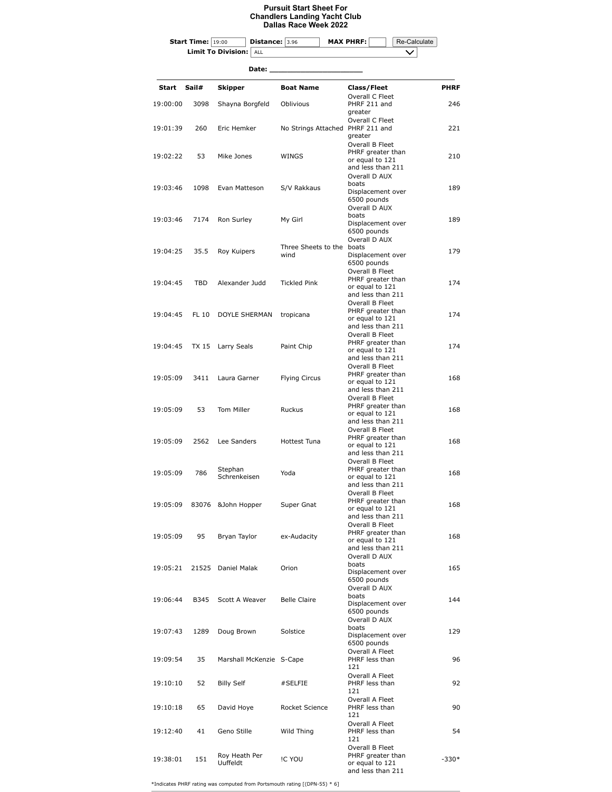## **Pursuit Start Sheet For Chandlers Landing Yacht Club Dallas Race Week 2022**

|                      | <b>Start Time:</b> 19:00 | Distance: 3.96                   |                                  | <b>MAX PHRF:</b>   |                                                           | Re-Calculate |             |  |
|----------------------|--------------------------|----------------------------------|----------------------------------|--------------------|-----------------------------------------------------------|--------------|-------------|--|
|                      |                          | <b>Limit To Division:</b><br>ALL |                                  |                    |                                                           |              |             |  |
| Date:                |                          |                                  |                                  |                    |                                                           |              |             |  |
|                      |                          |                                  |                                  |                    |                                                           |              |             |  |
| Start                | Sail#                    | Skipper                          | <b>Boat Name</b>                 | <b>Class/Fleet</b> | Overall C Fleet                                           |              | <b>PHRF</b> |  |
| 19:00:00             | 3098                     | Shayna Borgfeld                  | Oblivious                        |                    | PHRF 211 and                                              |              | 246         |  |
|                      |                          |                                  |                                  | greater            | Overall C Fleet                                           |              |             |  |
| 19:01:39             | 260                      | Eric Hemker                      | No Strings Attached PHRF 211 and |                    |                                                           |              | 221         |  |
|                      |                          |                                  |                                  | greater            | Overall B Fleet                                           |              |             |  |
| 19:02:22             | 53                       | Mike Jones                       | WINGS                            |                    | PHRF greater than                                         |              | 210         |  |
|                      |                          |                                  |                                  |                    | or equal to 121<br>and less than 211                      |              |             |  |
|                      | 1098                     |                                  | S/V Rakkaus                      |                    | Overall D AUX                                             |              |             |  |
| 19:03:46             |                          | Evan Matteson                    |                                  | boats              |                                                           |              | 189         |  |
|                      |                          |                                  |                                  | 6500 pounds        | Displacement over                                         |              |             |  |
|                      |                          |                                  |                                  |                    | Overall D AUX                                             |              |             |  |
| 19:03:46             | 7174                     | Ron Surley                       | My Girl                          | boats              | Displacement over                                         |              | 189         |  |
|                      |                          |                                  |                                  | 6500 pounds        |                                                           |              |             |  |
|                      |                          |                                  | Three Sheets to the boats        |                    | Overall D AUX                                             |              |             |  |
| 19:04:25             | 35.5                     | Roy Kuipers                      | wind                             |                    | Displacement over                                         |              | 179         |  |
|                      |                          |                                  |                                  | 6500 pounds        | Overall B Fleet                                           |              |             |  |
| 19:04:45<br>19:04:45 | TBD<br>FL 10             | Alexander Judd<br>DOYLE SHERMAN  | <b>Tickled Pink</b><br>tropicana |                    | PHRF greater than                                         |              | 174         |  |
|                      |                          |                                  |                                  |                    | or equal to 121<br>and less than 211                      |              |             |  |
|                      |                          |                                  |                                  |                    | Overall B Fleet                                           |              |             |  |
|                      |                          |                                  |                                  |                    | PHRF greater than<br>or equal to 121<br>and less than 211 |              | 174         |  |
|                      |                          |                                  |                                  |                    |                                                           |              |             |  |
| 19:04:45             | TX 15                    | Larry Seals                      | Paint Chip                       |                    | Overall B Fleet                                           |              |             |  |
|                      |                          |                                  |                                  |                    | PHRF greater than<br>or equal to 121                      |              | 174         |  |
|                      |                          |                                  |                                  |                    | and less than 211                                         |              |             |  |
| 19:05:09             | 3411                     | Laura Garner                     | <b>Flying Circus</b>             |                    | Overall B Fleet<br>PHRF greater than                      |              |             |  |
|                      |                          |                                  |                                  |                    | or equal to 121                                           |              | 168         |  |
|                      |                          |                                  |                                  |                    | and less than 211<br>Overall B Fleet                      |              |             |  |
| 19:05:09             | 53                       | Tom Miller                       | Ruckus                           |                    | PHRF greater than                                         |              | 168         |  |
|                      |                          |                                  |                                  |                    | or equal to 121<br>and less than 211                      |              |             |  |
| 19:05:09             | 2562                     | Lee Sanders                      | Hottest Tuna                     |                    | Overall B Fleet                                           |              | 168         |  |
|                      |                          |                                  |                                  |                    | PHRF greater than<br>or equal to 121                      |              |             |  |
|                      |                          |                                  |                                  |                    | and less than 211                                         |              |             |  |
| 19:05:09             | 786                      | Stephan<br>Schrenkeisen          | Yoda                             |                    | Overall B Fleet<br>PHRF greater than                      |              |             |  |
|                      |                          |                                  |                                  |                    | or equal to 121                                           |              | 168         |  |
|                      |                          |                                  |                                  |                    | and less than 211<br>Overall B Fleet                      |              |             |  |
| 19:05:09             | 83076                    | &John Hopper                     | Super Gnat                       |                    | PHRF greater than                                         |              | 168         |  |
|                      |                          |                                  |                                  |                    | or equal to 121<br>and less than 211                      |              |             |  |
|                      |                          |                                  |                                  |                    | Overall B Fleet                                           |              |             |  |
| 19:05:09             | 95                       | Bryan Taylor                     | ex-Audacity                      |                    | PHRF greater than                                         |              | 168         |  |
|                      |                          |                                  |                                  |                    | or equal to 121<br>and less than 211                      |              |             |  |
|                      |                          |                                  |                                  |                    | Overall D AUX                                             |              |             |  |
| 19:05:21             | 21525                    | Daniel Malak                     | Orion                            | boats              | Displacement over                                         |              | 165         |  |
|                      |                          |                                  |                                  | 6500 pounds        |                                                           |              |             |  |
|                      |                          |                                  |                                  | boats              | Overall D AUX                                             |              |             |  |
| 19:06:44             | B345                     | Scott A Weaver                   | <b>Belle Claire</b>              |                    | Displacement over                                         |              | 144         |  |
|                      |                          |                                  |                                  | 6500 pounds        | Overall D AUX                                             |              |             |  |
| 19:07:43             | 1289                     | Doug Brown                       | Solstice                         | boats              |                                                           |              | 129         |  |
|                      |                          |                                  |                                  | 6500 pounds        | Displacement over                                         |              |             |  |
| 19:09:54             | 35                       | Marshall McKenzie S-Cape         |                                  |                    | Overall A Fleet                                           |              |             |  |
|                      |                          |                                  |                                  | 121                | PHRF less than                                            |              | 96          |  |
|                      |                          |                                  |                                  |                    | Overall A Fleet                                           |              |             |  |
| 19:10:10             | 52                       | <b>Billy Self</b>                | #SELFIE                          | 121                | PHRF less than                                            |              | 92          |  |
| 19:10:18             |                          | David Hoye                       | Rocket Science                   |                    | Overall A Fleet                                           |              |             |  |
|                      | 65                       |                                  |                                  |                    | PHRF less than                                            |              | 90          |  |
|                      |                          |                                  |                                  | 121                | Overall A Fleet                                           |              |             |  |
| 19:12:40             | 41                       | Geno Stille                      | Wild Thing                       |                    | PHRF less than                                            |              | 54          |  |
|                      |                          |                                  |                                  | 121                | Overall B Fleet                                           |              |             |  |
| 19:38:01             | 151                      | Roy Heath Per                    | IC YOU                           |                    | PHRF greater than                                         |              | $-330*$     |  |
|                      |                          | Uuffeldt                         |                                  |                    | or equal to 121<br>and less than 211                      |              |             |  |

\*Indicates PHRF rating was computed from Portsmouth rating [(DPN-55) \* 6]